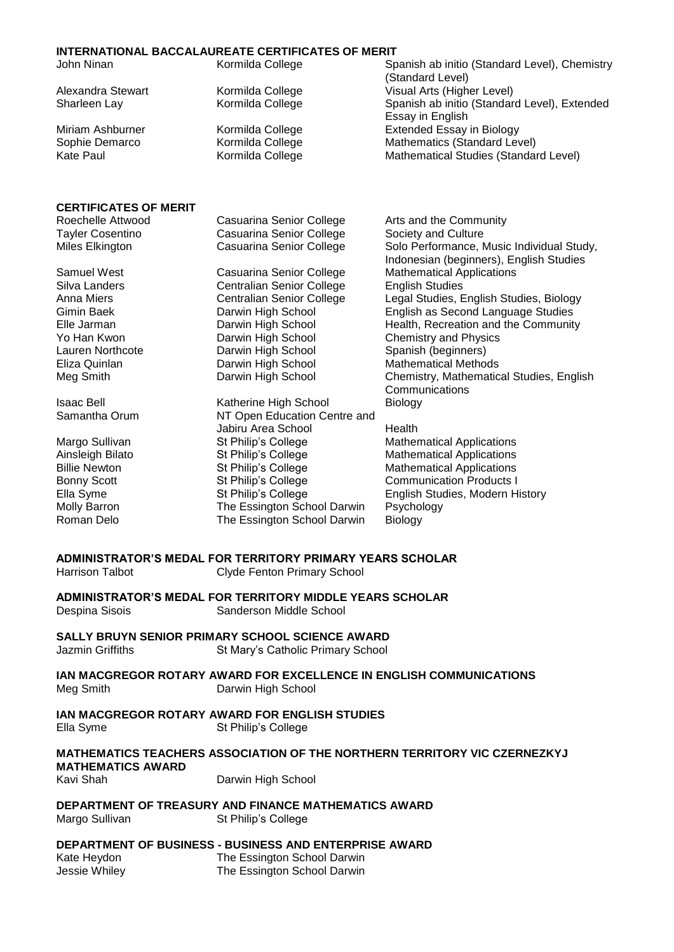| <b>INTERNATIONAL BACCALAUREATE CERTIFICATES OF MERIT</b> |                                  |                                                                                      |  |  |
|----------------------------------------------------------|----------------------------------|--------------------------------------------------------------------------------------|--|--|
| John Ninan                                               | Kormilda College                 | Spanish ab initio (Standard Level), Chemistry<br>(Standard Level)                    |  |  |
| Alexandra Stewart                                        | Kormilda College                 | Visual Arts (Higher Level)                                                           |  |  |
| Sharleen Lay                                             | Kormilda College                 | Spanish ab initio (Standard Level), Extended<br>Essay in English                     |  |  |
| Miriam Ashburner                                         | Kormilda College                 | <b>Extended Essay in Biology</b>                                                     |  |  |
| Sophie Demarco                                           | Kormilda College                 | Mathematics (Standard Level)                                                         |  |  |
| <b>Kate Paul</b>                                         | Kormilda College                 | Mathematical Studies (Standard Level)                                                |  |  |
|                                                          |                                  |                                                                                      |  |  |
| <b>CERTIFICATES OF MERIT</b>                             |                                  |                                                                                      |  |  |
| Roechelle Attwood                                        | Casuarina Senior College         | Arts and the Community                                                               |  |  |
| <b>Tayler Cosentino</b>                                  | <b>Casuarina Senior College</b>  | Society and Culture                                                                  |  |  |
| Miles Elkington                                          | Casuarina Senior College         | Solo Performance, Music Individual Study,<br>Indonesian (beginners), English Studies |  |  |
| Samuel West                                              | Casuarina Senior College         | <b>Mathematical Applications</b>                                                     |  |  |
| Silva Landers                                            | <b>Centralian Senior College</b> | <b>English Studies</b>                                                               |  |  |
| Anna Miers                                               | <b>Centralian Senior College</b> | Legal Studies, English Studies, Biology                                              |  |  |
| Gimin Baek                                               | Darwin High School               | English as Second Language Studies                                                   |  |  |
| Elle Jarman                                              | Darwin High School               | Health, Recreation and the Community                                                 |  |  |
| Yo Han Kwon                                              | Darwin High School               | <b>Chemistry and Physics</b>                                                         |  |  |
| Lauren Northcote                                         | Darwin High School               | Spanish (beginners)                                                                  |  |  |
| Eliza Quinlan                                            | Darwin High School               | <b>Mathematical Methods</b>                                                          |  |  |
| Meg Smith                                                | Darwin High School               | Chemistry, Mathematical Studies, English                                             |  |  |
|                                                          |                                  | Communications                                                                       |  |  |
| <b>Isaac Bell</b>                                        | Katherine High School            | <b>Biology</b>                                                                       |  |  |
| Samantha Orum                                            | NT Open Education Centre and     |                                                                                      |  |  |
|                                                          | Jabiru Area School               | Health                                                                               |  |  |
| Margo Sullivan                                           | St Philip's College              | <b>Mathematical Applications</b>                                                     |  |  |
| Ainsleigh Bilato                                         | St Philip's College              | <b>Mathematical Applications</b>                                                     |  |  |

Billie Newton **St Philip's College** Mathematical Applications Bonny Scott **St Philip's College** Communication Products I<br>Ella Syme St Philip's College English Studies, Modern H Ella Syme St Philip's College English Studies, Modern History<br>
Molly Barron School Darwin Psychology Roman Delo **The Essington School Darwin** Biology

**ADMINISTRATOR'S MEDAL FOR TERRITORY PRIMARY YEARS SCHOLAR** Harrison Talbot Clyde Fenton Primary School

The Essington School Darwin Psychology

**ADMINISTRATOR'S MEDAL FOR TERRITORY MIDDLE YEARS SCHOLAR** Despina Sisois Sanderson Middle School

## **SALLY BRUYN SENIOR PRIMARY SCHOOL SCIENCE AWARD**

Jazmin Griffiths St Mary's Catholic Primary School

**IAN MACGREGOR ROTARY AWARD FOR EXCELLENCE IN ENGLISH COMMUNICATIONS** Meg Smith Darwin High School

## **IAN MACGREGOR ROTARY AWARD FOR ENGLISH STUDIES**

Ella Syme St Philip's College

### **MATHEMATICS TEACHERS ASSOCIATION OF THE NORTHERN TERRITORY VIC CZERNEZKYJ MATHEMATICS AWARD**

Kavi Shah Darwin High School

## **DEPARTMENT OF TREASURY AND FINANCE MATHEMATICS AWARD**

Margo Sullivan St Philip's College

#### **DEPARTMENT OF BUSINESS - BUSINESS AND ENTERPRISE AWARD**

| Kate Heydon   | The Essington School Darwin |
|---------------|-----------------------------|
| Jessie Whiley | The Essington School Darwin |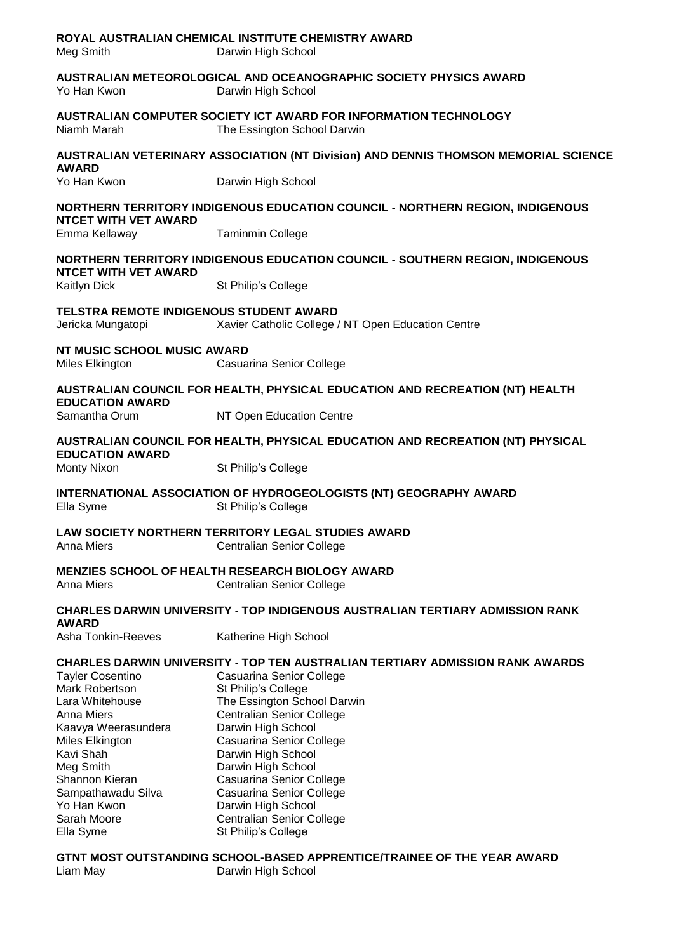| Meg Smith                                                                                                                                                                                                                         | ROYAL AUSTRALIAN CHEMICAL INSTITUTE CHEMISTRY AWARD<br>Darwin High School                                                                                                                                                                                                                                                                                                                                                                         |  |  |
|-----------------------------------------------------------------------------------------------------------------------------------------------------------------------------------------------------------------------------------|---------------------------------------------------------------------------------------------------------------------------------------------------------------------------------------------------------------------------------------------------------------------------------------------------------------------------------------------------------------------------------------------------------------------------------------------------|--|--|
| Yo Han Kwon                                                                                                                                                                                                                       | AUSTRALIAN METEOROLOGICAL AND OCEANOGRAPHIC SOCIETY PHYSICS AWARD<br>Darwin High School                                                                                                                                                                                                                                                                                                                                                           |  |  |
| Niamh Marah                                                                                                                                                                                                                       | AUSTRALIAN COMPUTER SOCIETY ICT AWARD FOR INFORMATION TECHNOLOGY<br>The Essington School Darwin                                                                                                                                                                                                                                                                                                                                                   |  |  |
| <b>AWARD</b>                                                                                                                                                                                                                      | AUSTRALIAN VETERINARY ASSOCIATION (NT Division) AND DENNIS THOMSON MEMORIAL SCIENCE                                                                                                                                                                                                                                                                                                                                                               |  |  |
| Yo Han Kwon                                                                                                                                                                                                                       | Darwin High School                                                                                                                                                                                                                                                                                                                                                                                                                                |  |  |
| <b>NORTHERN TERRITORY INDIGENOUS EDUCATION COUNCIL - NORTHERN REGION, INDIGENOUS</b><br><b>NTCET WITH VET AWARD</b>                                                                                                               |                                                                                                                                                                                                                                                                                                                                                                                                                                                   |  |  |
| Emma Kellaway                                                                                                                                                                                                                     | <b>Taminmin College</b>                                                                                                                                                                                                                                                                                                                                                                                                                           |  |  |
| <b>NTCET WITH VET AWARD</b><br><b>Kaitlyn Dick</b>                                                                                                                                                                                | NORTHERN TERRITORY INDIGENOUS EDUCATION COUNCIL - SOUTHERN REGION, INDIGENOUS<br>St Philip's College                                                                                                                                                                                                                                                                                                                                              |  |  |
|                                                                                                                                                                                                                                   |                                                                                                                                                                                                                                                                                                                                                                                                                                                   |  |  |
| TELSTRA REMOTE INDIGENOUS STUDENT AWARD<br>Jericka Mungatopi                                                                                                                                                                      | Xavier Catholic College / NT Open Education Centre                                                                                                                                                                                                                                                                                                                                                                                                |  |  |
| NT MUSIC SCHOOL MUSIC AWARD<br>Miles Elkington                                                                                                                                                                                    | Casuarina Senior College                                                                                                                                                                                                                                                                                                                                                                                                                          |  |  |
| <b>EDUCATION AWARD</b>                                                                                                                                                                                                            | AUSTRALIAN COUNCIL FOR HEALTH, PHYSICAL EDUCATION AND RECREATION (NT) HEALTH                                                                                                                                                                                                                                                                                                                                                                      |  |  |
| Samantha Orum                                                                                                                                                                                                                     | NT Open Education Centre                                                                                                                                                                                                                                                                                                                                                                                                                          |  |  |
| <b>EDUCATION AWARD</b>                                                                                                                                                                                                            | AUSTRALIAN COUNCIL FOR HEALTH, PHYSICAL EDUCATION AND RECREATION (NT) PHYSICAL                                                                                                                                                                                                                                                                                                                                                                    |  |  |
| <b>Monty Nixon</b>                                                                                                                                                                                                                | St Philip's College                                                                                                                                                                                                                                                                                                                                                                                                                               |  |  |
| INTERNATIONAL ASSOCIATION OF HYDROGEOLOGISTS (NT) GEOGRAPHY AWARD<br>Ella Syme<br>St Philip's College                                                                                                                             |                                                                                                                                                                                                                                                                                                                                                                                                                                                   |  |  |
| <b>Anna Miers</b>                                                                                                                                                                                                                 | LAW SOCIETY NORTHERN TERRITORY LEGAL STUDIES AWARD<br><b>Centralian Senior College</b>                                                                                                                                                                                                                                                                                                                                                            |  |  |
| <b>Anna Miers</b>                                                                                                                                                                                                                 | <b>MENZIES SCHOOL OF HEALTH RESEARCH BIOLOGY AWARD</b><br><b>Centralian Senior College</b>                                                                                                                                                                                                                                                                                                                                                        |  |  |
| <b>AWARD</b>                                                                                                                                                                                                                      | <b>CHARLES DARWIN UNIVERSITY - TOP INDIGENOUS AUSTRALIAN TERTIARY ADMISSION RANK</b>                                                                                                                                                                                                                                                                                                                                                              |  |  |
| Asha Tonkin-Reeves                                                                                                                                                                                                                | Katherine High School                                                                                                                                                                                                                                                                                                                                                                                                                             |  |  |
| <b>Tayler Cosentino</b><br>Mark Robertson<br>Lara Whitehouse<br>Anna Miers<br>Kaavya Weerasundera<br>Miles Elkington<br>Kavi Shah<br>Meg Smith<br>Shannon Kieran<br>Sampathawadu Silva<br>Yo Han Kwon<br>Sarah Moore<br>Ella Syme | <b>CHARLES DARWIN UNIVERSITY - TOP TEN AUSTRALIAN TERTIARY ADMISSION RANK AWARDS</b><br>Casuarina Senior College<br>St Philip's College<br>The Essington School Darwin<br><b>Centralian Senior College</b><br>Darwin High School<br>Casuarina Senior College<br>Darwin High School<br>Darwin High School<br>Casuarina Senior College<br>Casuarina Senior College<br>Darwin High School<br><b>Centralian Senior College</b><br>St Philip's College |  |  |
| Liam May                                                                                                                                                                                                                          | GTNT MOST OUTSTANDING SCHOOL-BASED APPRENTICE/TRAINEE OF THE YEAR AWARD<br>Darwin High School                                                                                                                                                                                                                                                                                                                                                     |  |  |